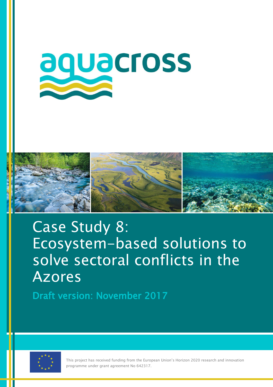



# Case Study 8: Ecosystem-based solutions to solve sectoral conflicts in the Azores

Draft version: November 2017



This project has received funding from the European Union's Horizon 2020 research and innovation programme under grant agreement No 642317.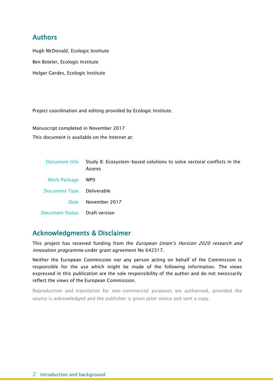## Authors

 Hugh McDonald, Ecologic Institute Ben Boteler, Ecologic Institute Holger Gerdes, Ecologic Institute

Project coordination and editing provided by Ecologic Institute.

Manuscript completed in November 2017 This document is available on the Internet at:

| Document title                | Study 8: Ecosystem-based solutions to solve sectoral conflicts in the<br>Azores |
|-------------------------------|---------------------------------------------------------------------------------|
| <b>Work Package</b>           | WP9                                                                             |
| Document Type Deliverable     |                                                                                 |
| <b>Date</b>                   | November 2017                                                                   |
| Document Status Draft version |                                                                                 |

## Acknowledgments & Disclaimer

This project has received funding from the *European Union's Horizon 2020 research and* innovation programme under grant agreement No 642317.

Neither the European Commission nor any person acting on behalf of the Commission is responsible for the use which might be made of the following information. The views expressed in this publication are the sole responsibility of the author and do not necessarily reflect the views of the European Commission.

Reproduction and translation for non-commercial purposes are authorised, provided the source is acknowledged and the publisher is given prior notice and sent a copy.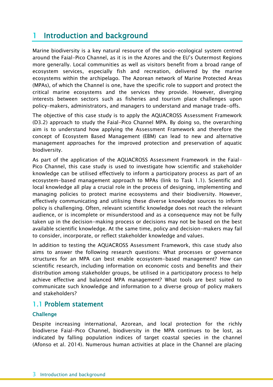## 1 Introduction and background

Marine biodiversity is a key natural resource of the socio-ecological system centred around the Faial-Pico Channel, as it is in the Azores and the EU's Outermost Regions more generally. Local communities as well as visitors benefit from a broad range of ecosystem services, especially fish and recreation, delivered by the marine ecosystems within the archipelago. The Azorean network of Marine Protected Areas (MPAs), of which the Channel is one, have the specific role to support and protect the critical marine ecosystems and the services they provide. However, diverging interests between sectors such as fisheries and tourism place challenges upon policy-makers, administrators, and managers to understand and manage trade-offs.

The objective of this case study is to apply the AQUACROSS Assessment Framework (D3.2) approach to study the Faial-Pico Channel MPA. By doing so, the overarching aim is to understand how applying the Assessment Framework and therefore the concept of Ecosystem Based Management (EBM) can lead to new and alternative management approaches for the improved protection and preservation of aquatic biodiversity.

As part of the application of the AQUACROSS Assessment Framework in the Faial-Pico Channel, this case study is used to investigate how scientific and stakeholder knowledge can be utilised effectively to inform a participatory process as part of an ecosystem-based management approach to MPAs (link to Task 1.1). Scientific and local knowledge all play a crucial role in the process of designing, implementing and managing policies to protect marine ecosystems and their biodiversity. However, effectively communicating and utilising these diverse knowledge sources to inform policy is challenging. Often, relevant scientific knowledge does not reach the relevant audience, or is incomplete or misunderstood and as a consequence may not be fully taken up in the decision-making process or decisions may not be based on the best available scientific knowledge. At the same time, policy and decision-makers may fail to consider, incorporate, or reflect stakeholder knowledge and values.

In addition to testing the AQUACROSS Assessment Framework, this case study also aims to answer the following research questions: What processes or governance structures for an MPA can best enable ecosystem-based management? How can scientific research, including information on economic costs and benefits and their distribution among stakeholder groups, be utilised in a participatory process to help achieve effective and balanced MPA management? What tools are best suited to communicate such knowledge and information to a diverse group of policy makers and stakeholders?

### 1.1 Problem statement

#### **Challenge**

Despite increasing international, Azorean, and local protection for the richly biodiverse Faial-Pico Channel, biodiversity in the MPA continues to be lost, as indicated by falling population indices of target coastal species in the channel (Afonso et al. 2014). Numerous human activities at place in the Channel are placing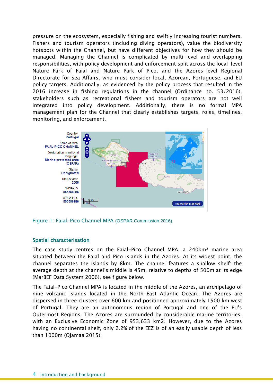pressure on the ecosystem, especially fishing and swiftly increasing tourist numbers. Fishers and tourism operators (including diving operators), value the biodiversity hotspots within the Channel, but have different objectives for how they should be managed. Managing the Channel is complicated by multi-level and overlapping responsibilities, with policy development and enforcement split across the local-level Nature Park of Faial and Nature Park of Pico, and the Azores-level Regional Directorate for Sea Affairs, who must consider local, Azorean, Portuguese, and EU policy targets. Additionally, as evidenced by the policy process that resulted in the 2016 increase in fishing regulations in the channel (Ordinance no. 53/2016), stakeholders such as recreational fishers and tourism operators are not well integrated into policy development. Additionally, there is no formal MPA management plan for the Channel that clearly establishes targets, roles, timelines, monitoring, and enforcement.



Figure 1: Faial-Pico Channel MPA (OSPAR Commission 2016)

#### Spatial characterisation

The case study centres on the Faial-Pico Channel MPA, a 240km<sup>2</sup> marine area situated between the Faial and Pico islands in the Azores. At its widest point, the channel separates the islands by 8km. The channel features a shallow shelf: the average depth at the channel's middle is 45m, relative to depths of 500m at its edge (MarBEF Data System 2006), see figure below.

The Faial-Pico Channel MPA is located in the middle of the Azores, an archipelago of nine volcanic islands located in the North-East Atlantic Ocean. The Azores are dispersed in three clusters over 600 km and positioned approximately 1500 km west of Portugal. They are an autonomous region of Portugal and one of the EU's Outermost Regions. The Azores are surrounded by considerable marine territories, with an Exclusive Economic Zone of 953,633 km2. However, due to the Azores having no continental shelf, only 2.2% of the EEZ is of an easily usable depth of less than 1000m (Ojamaa 2015).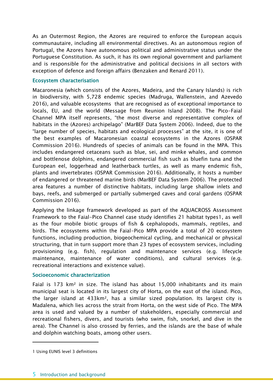As an Outermost Region, the Azores are required to enforce the European acquis communautaire, including all environmental directives. As an autonomous region of Portugal, the Azores have autonomous political and administrative status under the Portuguese Constitution. As such, it has its own regional government and parliament and is responsible for the administrative and political decisions in all sectors with exception of defence and foreign affairs (Benzaken and Renard 2011).

#### Ecosystem characterisation

Macaronesia (which consists of the Azores, Madeira, and the Canary Islands) is rich in biodiversity, with 5,728 endemic species (Madruga, Wallenstein, and Azevedo 2016), and valuable ecosystems that are recognised as of exceptional importance to locals, EU, and the world (Message from Reunion Island 2008). The Pico-Faial Channel MPA itself represents, "the most diverse and representative complex of habitats in the (Azores) archipelago" (MarBEF Data System 2006). Indeed, due to the "large number of species, habitats and ecological processes" at the site, it is one of the best examples of Macaronesian coastal ecosystems in the Azores (OSPAR Commission 2016). Hundreds of species of animals can be found in the MPA. This includes endangered cetaceans such as blue, sei, and minke whales, and common and bottlenose dolphins, endangered commercial fish such as bluefin tuna and the European eel, loggerhead and leatherback turtles, as well as many endemic fish, plants and invertebrates (OSPAR Commission 2016). Additionally, it hosts a number of endangered or threatened marine birds (MarBEF Data System 2006). The protected area features a number of distinctive habitats, including large shallow inlets and bays, reefs, and submerged or partially submerged caves and coral gardens (OSPAR Commission 2016).

Applying the linkage framework developed as part of the AQUACROSS Assessment Framework to the Faial-Pico Channel case study identifies 21 habitat types1, as well as the four mobile biotic groups of fish & cephalopods, mammals, reptiles, and birds. The ecosystems within the Faial-Pico MPA provide a total of 20 ecosystem functions, including production, biogeochemical cycling, and mechanical or physical structuring, that in turn support more than 23 types of ecosystem services, including provisioning (e.g. fish), regulation and maintenance services (e.g. lifecycle maintenance, maintenance of water conditions), and cultural services (e.g. recreational interactions and existence value).

#### Socioeconomic characterization

Faial is 173 km² in size. The island has about 15,000 inhabitants and its main municipal seat is located in its largest city of Horta, on the east of the island. Pico, the larger island at 433km², has a similar sized population. Its largest city is Madalena, which lies across the strait from Horta, on the west side of Pico. The MPA area is used and valued by a number of stakeholders, especially commercial and recreational fishers, divers, and tourists (who swim, fish, snorkel, and dive in the area). The Channel is also crossed by ferries, and the islands are the base of whale and dolphin watching boats, among other users.

 $\overline{a}$ 

<sup>1</sup> Using EUNIS level 3 definitions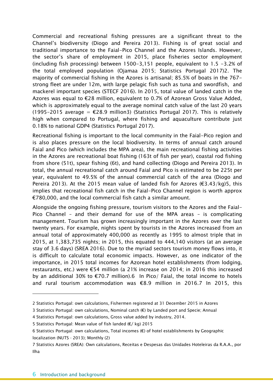Commercial and recreational fishing pressures are a significant threat to the Channel's biodiversity (Diogo and Pereira 2013). Fishing is of great social and traditional importance to the Faial-Pico Channel and the Azores Islands. However, the sector's share of employment in 2015, place fisheries sector employment (including fish processing) between 1500-3,151 people, equivalent to 1.5 -3.2% of the total employed population (Ojamaa 2015; Statistics Portugal 2017)2. The majority of commercial fishing in the Azores is artisanal; 85.5% of boats in the 767 strong fleet are under 12m, with large pelagic fish such as tuna and swordfish, and mackerel important species (STECF 2016). In 2015, total value of landed catch in the Azores was equal to €28 million, equivalent to 0.7% of Azorean Gross Value Added, which is approximately equal to the average nominal catch value of the last 20 years (1995-2015 average =  $\epsilon$ 28.9 million3) (Statistics Portugal 2017). This is relatively high when compared to Portugal, where fishing and aquaculture contribute just 0.18% to national GDP4 (Statistics Portugal 2017).

Recreational fishing is important to the local community in the Faial-Pico region and is also places pressure on the local biodiversity. In terms of annual catch around Faial and Pico (which includes the MPA area), the main recreational fishing activities in the Azores are recreational boat fishing (163t of fish per year), coastal rod fishing from shore (51t), spear fishing (6t), and hand collecting (Diogo and Pereira 2013). In total, the annual recreational catch around Faial and Pico is estimated to be 225t per year, equivalent to 49.5% of the annual commercial catch of the area (Diogo and Pereira 2013). At the 2015 mean value of landed fish for Azores ( $\epsilon$ 3.43/kg)5, this implies that recreational fish catch in the Faial-Pico Channel region is worth approx €780,000, and the local commercial fish catch a similar amount.

Alongside the ongoing fishing pressure, tourism visitors to the Azores and the Faial-Pico Channel – and their demand for use of the MPA areas – is complicating management. Tourism has grown increasingly important in the Azores over the last twenty years. For example, nights spent by tourists in the Azores increased from an annual total of approximately 400,000 as recently as 1995 to almost triple that in 2015, at 1,383,735 nights; in 2015, this equated to 444,140 visitors (at an average stay of 3.6 days) (SREA 2016). Due to the myriad sectors tourism money flows into, it is difficult to calculate total economic impacts. However, as one indicator of the importance, in 2015 total incomes for Azorean hotel establishments (from lodging, restaurants, etc.) were €54 million (a 21% increase on 2014; in 2016 this increased by an additional 30% to €70.7 million).6 In Pico/ Faial, the total income to hotels and rural tourism accommodation was €8.9 million in 2016.7 In 2015, this

<sup>2</sup> Statistics Portugal: own calculations, Fishermen registered at 31 December 2015 in Azores

<sup>3</sup> Statistics Portugal: own calculations, Nominal catch (€) by Landed port and Specie; Annual

<sup>4</sup> Statistics Portugal: own calculations, Gross value added by industry, 2014.

<sup>5</sup> Statistics Portugal: Mean value of fish landed (€/ kg) 2015

<sup>6</sup> Statistics Portugal: own calculations, Total incomes (€) of hotel establishments by Geographic localization (NUTS - 2013); Monthly (2)

<sup>7</sup> Statistics Azores (SREA): Own calculations, Receitas e Despesas das Unidades Hoteleiras da R.A.A., por Ilha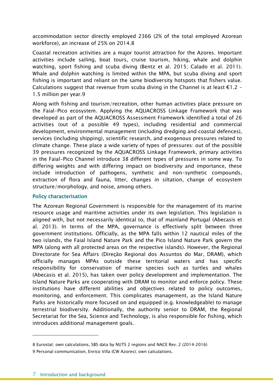accommodation sector directly employed 2366 (2% of the total employed Azorean workforce), an increase of 25% on 2014.8

Coastal recreation activities are a major tourist attraction for the Azores. Important activities include sailing, boat tours, cruise tourism, hiking, whale and dolphin watching, sport fishing and scuba diving (Bentz et al. 2015; Calado et al. 2011). Whale and dolphin watching is limited within the MPA, but scuba diving and sport fishing is important and reliant on the same biodiversity hotspots that fishers value. Calculations suggest that revenue from scuba diving in the Channel is at least  $E1.2 -$ 1.5 million per year.9

Along with fishing and tourism/recreation, other human activities place pressure on the Faial-Pico ecosystem. Applying the AQUACROSS Linkage Framework that was developed as part of the AQUACROSS Assessment Framework identified a total of 26 activities (out of a possible 49 types), including residential and commercial development, environmental management (including dredging and coastal defences), services (including shipping), scientific research, and exogenous pressures related to climate change. These place a wide variety of types of pressures: out of the possible 39 pressures recognized by the AQUACROSS Linkage Framework, primary activities in the Faial-Pico Channel introduce 38 different types of pressures in some way. To differing weights and with differing impact on biodiversity and importance, these include introduction of pathogens, synthetic and non-synthetic compounds, extraction of flora and fauna, litter, changes in siltation, change of ecosystem structure/morphology, and noise, among others.

#### Policy characterisation

The Azorean Regional Government is responsible for the management of its marine resource usage and maritime activities under its own legislation. This legislation is aligned with, but not necessarily identical to, that of mainland Portugal (Abecasis et al. 2013). In terms of the MPA, governance is effectively split between three government institutions. Officially, as the MPA falls within 12 nautical miles of the two islands, the Faial Island Nature Park and the Pico Island Nature Park govern the MPA (along with all protected areas on the respective islands). However, the Regional Directorate for Sea Affairs (Direção Regional dos Assuntos do Mar, DRAM), which officially manages MPAs outside these territorial waters and has specific responsibility for conservation of marine species such as turtles and whales (Abecasis et al. 2015), has taken over policy development and implementation. The Island Nature Parks are cooperating with DRAM to monitor and enforce policy. These institutions have different abilities and objectives related to policy outcomes, monitoring, and enforcement. This complicates management, as the Island Nature Parks are historically more focused on and equipped (e.g. knowledgeable) to manage terrestrial biodiversity. Additionally, the authority senior to DRAM, the Regional Secretariat for the Sea, Science and Technology, is also responsible for fishing, which introduces additional management goals.

 $\overline{a}$ 

<sup>8</sup> Eurostat: own calculations, SBS data by NUTS 2 regions and NACE Rev. 2 (2014-2016)

<sup>9</sup> Personal communication, Enrico Villa (CW Azores); own calculations.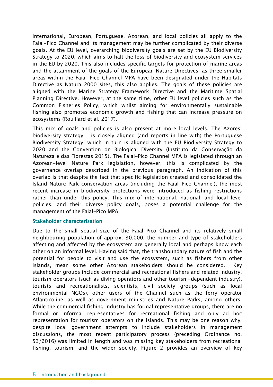International, European, Portuguese, Azorean, and local policies all apply to the Faial-Pico Channel and its management may be further complicated by their diverse goals. At the EU level, overarching biodiversity goals are set by the EU Biodiversity Strategy to 2020, which aims to halt the loss of biodiversity and ecosystem services in the EU by 2020. This also includes specific targets for protection of marine areas and the attainment of the goals of the European Nature Directives: as three smaller areas within the Faial-Pico Channel MPA have been designated under the Habitats Directive as Natura 2000 sites, this also applies. The goals of these policies are aligned with the Marine Strategy Framework Directive and the Maritime Spatial Planning Directive. However, at the same time, other EU level policies such as the Common Fisheries Policy, which whilst aiming for environmentally sustainable fishing also promotes economic growth and fishing that can increase pressure on ecosystems (Rouillard et al. 2017).

This mix of goals and policies is also present at more local levels. The Azores' biodiversity strategy is closely aligned (and reports in line with) the Portuguese Biodiversity Strategy, which in turn is aligned with the EU Biodiversity Strategy to 2020 and the Convention on Biological Diversity (Instituto da Conservação da Natureza e das Florestas 2015). The Faial-Pico Channel MPA is legislated through an Azorean-level Nature Park legislation, however, this is complicated by the governance overlap described in the previous paragraph. An indication of this overlap is that despite the fact that specific legislation created and consolidated the Island Nature Park conservation areas (including the Faial-Pico Channel), the most recent increase in biodiversity protections were introduced as fishing restrictions rather than under this policy. This mix of international, national, and local level policies, and their diverse policy goals, poses a potential challenge for the management of the Faial-Pico MPA.

#### Stakeholder characterisation

Due to the small spatial size of the Faial-Pico Channel and its relatively small neighbouring population of approx. 30,000, the number and type of stakeholders affecting and affected by the ecosystem are generally local and perhaps know each other on an informal level. Having said that, the transboundary nature of fish and the potential for people to visit and use the ecosystem, such as fishers from other islands, mean some other Azorean stakeholders should be considered. Key stakeholder groups include commercial and recreational fishers and related industry, tourism operators (such as diving operators and other tourism-dependent industry), tourists and recreationalists, scientists, civil society groups (such as local environmental NGOs), other users of the Channel such as the ferry operator Atlanticoline, as well as government ministries and Nature Parks, among others. While the commercial fishing industry has formal representative groups, there are no formal or informal representatives for recreational fishing and only ad hoc representation for tourism operators on the islands. This may be one reason why, despite local government attempts to include stakeholders in management discussions, the most recent participatory process (preceding Ordinance no. 53/2016) was limited in length and was missing key stakeholders from recreational fishing, tourism, and the wider society. [Figure 2](#page-8-0) provides an overview of key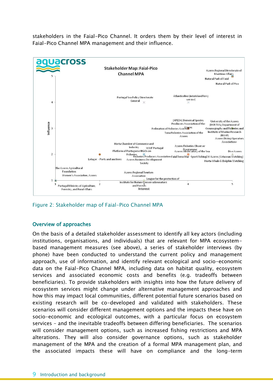stakeholders in the Faial-Pico Channel. It orders them by their level of interest in Faial-Pico Channel MPA management and their influence.



<span id="page-8-0"></span>Figure 2: Stakeholder map of Faial-Pico Channel MPA

#### Overview of approaches

On the basis of a detailed stakeholder assessment to identify all key actors (including institutions, organisations, and individuals) that are relevant for MPA ecosystembased management measures (see above), a series of stakeholder interviews (by phone) have been conducted to understand the current policy and management approach, use of information, and identify relevant ecological and socio-economic data on the Faial-Pico Channel MPA, including data on habitat quality, ecosystem services and associated economic costs and benefits (e.g. tradeoffs between beneficiaries). To provide stakeholders with insights into how the future delivery of ecosystem services might change under alternative management approaches and how this may impact local communities, different potential future scenarios based on existing research will be co-developed and validated with stakeholders. These scenarios will consider different management options and the impacts these have on socio-economic and ecological outcomes, with a particular focus on ecosystem services – and the inevitable tradeoffs between differing beneficiaries. The scenarios will consider management options, such as increased fishing restrictions and MPA alterations. They will also consider governance options, such as stakeholder management of the MPA and the creation of a formal MPA management plan, and the associated impacts these will have on compliance and the long-term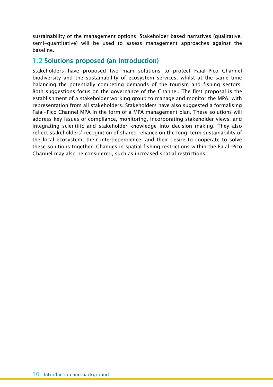sustainability of the management options. Stakeholder based narratives (qualitative, semi-quantitative) will be used to assess management approaches against the baseline.

## 1.2 Solutions proposed (an introduction)

Stakeholders have proposed two main solutions to protect Faial-Pico Channel biodiversity and the sustainability of ecosystem services, whilst at the same time balancing the potentially competing demands of the tourism and fishing sectors. Both suggestions focus on the governance of the Channel. The first proposal is the establishment of a stakeholder working group to manage and monitor the MPA, with representation from all stakeholders. Stakeholders have also suggested a formalising Faial-Pico Channel MPA in the form of a MPA management plan. These solutions will address key issues of compliance, monitoring, incorporating stakeholder views, and integrating scientific and stakeholder knowledge into decision making. They also reflect stakeholders' recognition of shared reliance on the long-term sustainability of the local ecosystem, their interdependence, and their desire to cooperate to solve these solutions together. Changes in spatial fishing restrictions within the Faial-Pico Channel may also be considered, such as increased spatial restrictions.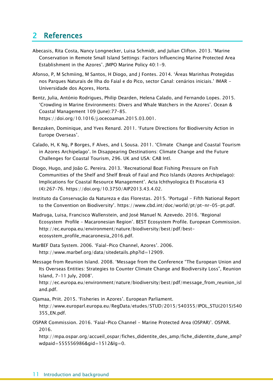## 2 References

- Abecasis, Rita Costa, Nancy Longnecker, Luisa Schmidt, and Julian Clifton. 2013. 'Marine Conservation in Remote Small Island Settings: Factors Influencing Marine Protected Area Establishment in the Azores'. JMPO Marine Policy 40:1–9.
- Afonso, P, M Schmiing, M Santos, H Diogo, and J Fontes. 2014. 'Áreas Marinhas Protegidas nos Parques Naturais de Ilha do Faial e do Pico, sector Canal: cenários iniciais.' IMAR - Universidade dos Açores, Horta.
- Bentz, Julia, António Rodrigues, Philip Dearden, Helena Calado, and Fernando Lopes. 2015. 'Crowding in Marine Environments: Divers and Whale Watchers in the Azores'. Ocean & Coastal Management 109 (June):77–85. https://doi.org/10.1016/j.ocecoaman.2015.03.001.
- Benzaken, Dominique, and Yves Renard. 2011. 'Future Directions for Biodiversity Action in Europe Overseas'.
- Calado, H, K Ng, P Borges, F Alves, and L Sousa. 2011. 'Climate Change and Coastal Tourism in Azores Archipelago'. In Disappearing Destinations: Climate Change and the Future Challenges for Coastal Tourism, 296. UK and USA: CAB Intl.
- Diogo, Hugo, and João G. Pereira. 2013. 'Recreational Boat Fishing Pressure on Fish Communities of the Shelf and Shelf Break of Faial and Pico Islands (Azores Archipelago): Implications for Coastal Resource Management'. Acta Ichthyologica Et Piscatoria 43 (4):267–76. https://doi.org/10.3750/AIP2013.43.4.02.
- Instituto da Conservação da Natureza e das Florestas. 2015. 'Portugal Fifth National Report to the Convention on Biodiversity'. https://www.cbd.int/doc/world/pt/pt-nr-05-pt.pdf.
- Madruga, Luisa, Francisco Wallenstein, and José Manuel N. Azevedo. 2016. 'Regional Ecosystem Profile – Macaronesian Region'. BEST Ecosystem Profile. European Commission. http://ec.europa.eu/environment/nature/biodiversity/best/pdf/bestecosystem\_profile\_macaronesia\_2016.pdf.
- MarBEF Data System. 2006. 'Faial-Pico Channel, Azores'. 2006. http://www.marbef.org/data/sitedetails.php?id=12909.
- Message from Reunion Island. 2008. 'Message from the Conference "The European Union and Its Overseas Entities: Strategies to Counter Climate Change and Biodiversity Loss", Reunion Island, 7-11 July, 2008'.

http://ec.europa.eu/environment/nature/biodiversity/best/pdf/message\_from\_reunion\_isl and.pdf.

- Ojamaa, Priit. 2015. 'Fisheries in Azores'. European Parliament. http://www.europarl.europa.eu/RegData/etudes/STUD/2015/540355/IPOL\_STU(2015)540 355\_EN.pdf.
- OSPAR Commission. 2016. 'Faial-Pico Channel Marine Protected Area (OSPAR)'. OSPAR. 2016.

http://mpa.ospar.org/accueil\_ospar/fiches\_didentite\_des\_amp/fiche\_didentite\_dune\_amp? wdpaid=555556986&gid=1512&lg=0.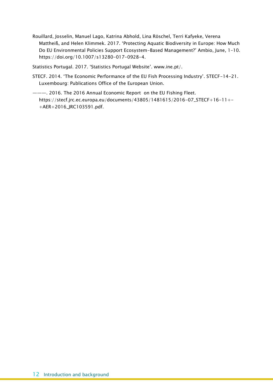Rouillard, Josselin, Manuel Lago, Katrina Abhold, Lina Röschel, Terri Kafyeke, Verena Mattheiß, and Helen Klimmek. 2017. 'Protecting Aquatic Biodiversity in Europe: How Much Do EU Environmental Policies Support Ecosystem-Based Management?' Ambio, June, 1–10. https://doi.org/10.1007/s13280-017-0928-4.

Statistics Portugal. 2017. 'Statistics Portugal Website'. www.ine.pt/.

STECF. 2014. 'The Economic Performance of the EU Fish Processing Industry'. STECF-14-21. Luxembourg: Publications Office of the European Union.

———. 2016. The 2016 Annual Economic Report on the EU Fishing Fleet. https://stecf.jrc.ec.europa.eu/documents/43805/1481615/2016-07\_STECF+16-11+- +AER+2016\_JRC103591.pdf.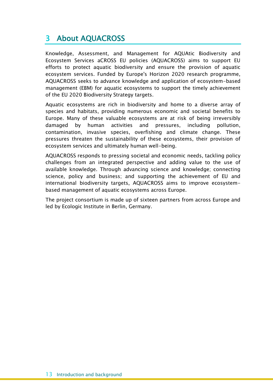## 3 About AQUACROSS

Knowledge, Assessment, and Management for AQUAtic Biodiversity and Ecosystem Services aCROSS EU policies (AQUACROSS) aims to support EU efforts to protect aquatic biodiversity and ensure the provision of aquatic ecosystem services. Funded by Europe's Horizon 2020 research programme, AQUACROSS seeks to advance knowledge and application of ecosystem-based management (EBM) for aquatic ecosystems to support the timely achievement of the EU 2020 Biodiversity Strategy targets.

Aquatic ecosystems are rich in biodiversity and home to a diverse array of species and habitats, providing numerous economic and societal benefits to Europe. Many of these valuable ecosystems are at risk of being irreversibly damaged by human activities and pressures, including pollution, contamination, invasive species, overfishing and climate change. These pressures threaten the sustainability of these ecosystems, their provision of ecosystem services and ultimately human well-being.

AQUACROSS responds to pressing societal and economic needs, tackling policy challenges from an integrated perspective and adding value to the use of available knowledge. Through advancing science and knowledge; connecting science, policy and business; and supporting the achievement of EU and international biodiversity targets, AQUACROSS aims to improve ecosystembased management of aquatic ecosystems across Europe.

The project consortium is made up of sixteen partners from across Europe and led by Ecologic Institute in Berlin, Germany.